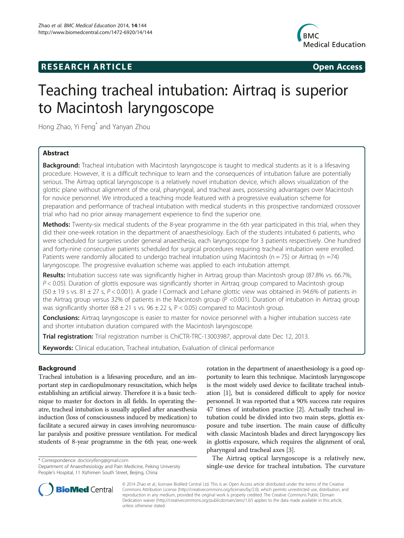# **RESEARCH ARTICLE Example 2014 CONSIDERING CONSIDERING CONSIDERING CONSIDERING CONSIDERING CONSIDERING CONSIDERING CONSIDERING CONSIDERING CONSIDERING CONSIDERING CONSIDERING CONSIDERING CONSIDERING CONSIDERING CONSIDE**



# Teaching tracheal intubation: Airtraq is superior to Macintosh laryngoscope

Hong Zhao, Yi Feng\* and Yanyan Zhou

# Abstract

**Background:** Tracheal intubation with Macintosh laryngoscope is taught to medical students as it is a lifesaving procedure. However, it is a difficult technique to learn and the consequences of intubation failure are potentially serious. The Airtraq optical laryngoscope is a relatively novel intubation device, which allows visualization of the glottic plane without alignment of the oral, pharyngeal, and tracheal axes, possessing advantages over Macintosh for novice personnel. We introduced a teaching mode featured with a progressive evaluation scheme for preparation and performance of tracheal intubation with medical students in this prospective randomized crossover trial who had no prior airway management experience to find the superior one.

Methods: Twenty-six medical students of the 8-year programme in the 6th year participated in this trial, when they did their one-week rotation in the department of anaesthesiology. Each of the students intubated 6 patients, who were scheduled for surgeries under general anaesthesia, each laryngoscope for 3 patients respectively. One hundred and forty-nine consecutive patients scheduled for surgical procedures requiring tracheal intubation were enrolled. Patients were randomly allocated to undergo tracheal intubation using Macintosh ( $n = 75$ ) or Airtrag ( $n = 74$ ) laryngoscope. The progressive evaluation scheme was applied to each intubation attempt.

Results: Intubation success rate was significantly higher in Airtrag group than Macintosh group (87.8% vs. 66.7%,  $P < 0.05$ ). Duration of glottis exposure was significantly shorter in Airtrag group compared to Macintosh group  $(50 \pm 19 \text{ s} \text{ vs. } 81 \pm 27 \text{ s}, P < 0.001)$ . A grade I Cormack and Lehane glottic view was obtained in 94.6% of patients in the Airtraq group versus 32% of patients in the Macintosh group (P <0.001). Duration of intubation in Airtraq group was significantly shorter ( $68 \pm 21$  s vs.  $96 \pm 22$  s, P < 0.05) compared to Macintosh group.

**Conclusions:** Airtrag laryngoscope is easier to master for novice personnel with a higher intubation success rate and shorter intubation duration compared with the Macintosh laryngoscope.

Trial registration: Trial registration number is ChiCTR-TRC-[13003987,](http://apps.who.int/trialsearch/Trial.aspx?TrialID=ChiCTR-TRC-13003987) approval date Dec 12, 2013.

Keywords: Clinical education, Tracheal intubation, Evaluation of clinical performance

# Background

Tracheal intubation is a lifesaving procedure, and an important step in cardiopulmonary resuscitation, which helps establishing an artificial airway. Therefore it is a basic technique to master for doctors in all fields. In operating theatre, tracheal intubation is usually applied after anaesthesia induction (loss of consciousness induced by medication) to facilitate a secured airway in cases involving neuromuscular paralysis and positive pressure ventilation. For medical students of 8-year programme in the 6th year, one-week

\* Correspondence: [doctoryifeng@gmail.com](mailto:doctoryifeng@gmail.com)

Department of Anaesthesiology and Pain Medicine, Peking University People's Hospital, 11 Xizhimen South Street, Beijing, China



The Airtraq optical laryngoscope is a relatively new, single-use device for tracheal intubation. The curvature



© 2014 Zhao et al.; licensee BioMed Central Ltd. This is an Open Access article distributed under the terms of the Creative Commons Attribution License [\(http://creativecommons.org/licenses/by/2.0\)](http://creativecommons.org/licenses/by/2.0), which permits unrestricted use, distribution, and reproduction in any medium, provided the original work is properly credited. The Creative Commons Public Domain Dedication waiver [\(http://creativecommons.org/publicdomain/zero/1.0/](http://creativecommons.org/publicdomain/zero/1.0/)) applies to the data made available in this article, unless otherwise stated.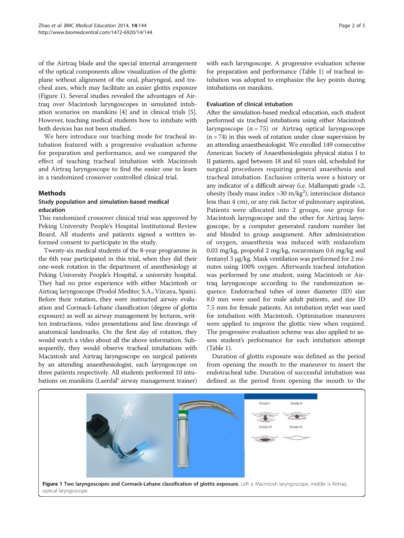of the Airtraq blade and the special internal arrangement of the optical components allow visualization of the glottic plane without alignment of the oral, pharyngeal, and tracheal axes, which may facilitate an easier glottis exposure (Figure 1). Several studies revealed the advantages of Airtraq over Macintosh laryngoscopes in simulated intubation scenarios on manikins [\[4](#page-4-0)] and in clinical trials [[5](#page-4-0)]. However, teaching medical students how to intubate with both devices has not been studied.

We here introduce our teaching mode for tracheal intubation featured with a progressive evaluation scheme for preparation and performance, and we compared the effect of teaching tracheal intubation with Macintosh and Airtraq laryngoscope to find the easier one to learn in a randomized crossover controlled clinical trial.

### Methods

## Study population and simulation-based medical education

This randomized crossover clinical trial was approved by Peking University People's Hospital Institutional Review Board. All students and patients signed a written informed consent to participate in the study.

Twenty-six medical students of the 8-year programme in the 6th year participated in this trial, when they did their one-week rotation in the department of anesthesiology at Peking University People's Hospital, a university hospital. They had no prior experience with either Macintosh or Airtraq laryngoscope (Prodol Meditec S.A., Vizcaya, Spain). Before their rotation, they were instructed airway evaluation and Cormack-Lehane classification (degree of glottis exposure) as well as airway management by lectures, written instructions, video presentations and line drawings of anatomical landmarks. On the first day of rotation, they would watch a video about all the above information. Subsequently, they would observe tracheal intubations with Macintosh and Airtraq laryngoscope on surgical patients by an attending anaesthesiologist, each laryngoscope on three patients respectively. All students performed 10 intubations on manikins (Laerdal® airway management trainer) with each laryngoscope. A progressive evaluation scheme for preparation and performance (Table [1](#page-2-0)) of tracheal intubation was adopted to emphasize the key points during intubations on manikins.

#### Evaluation of clinical intubation

After the simulation-based medical education, each student performed six tracheal intubations using either Macintosh laryngoscope  $(n = 75)$  or Airtraq optical laryngoscope  $(n = 74)$  in this week of rotation under close supervision by an attending anaesthesiologist. We enrolled 149 consecutive American Society of Anaesthesiologists physical status I to II patients, aged between 18 and 65 years old, scheduled for surgical procedures requiring general anaesthesia and tracheal intubation. Exclusion criteria were a history or any indicator of a difficult airway (i.e. Mallampati grade >2, obesity (body mass index > 30 m/kg<sup>2</sup>), interincisor distance less than 4 cm), or any risk factor of pulmonary aspiration. Patients were allocated into 2 groups, one group for Macintosh laryngoscope and the other for Airtraq laryngoscope, by a computer generated random number list and blinded to group assignment. After administration of oxygen, anaesthesia was induced with midazolum 0.03 mg/kg, propofol 2 mg/kg, rocuronium 0.6 mg/kg and fentanyl 3 μg/kg. Mask ventilation was performed for 2 minutes using 100% oxygen. Afterwards tracheal intubation was performed by one student, using Macintosh or Airtraq laryngoscope according to the randomization sequence. Endotracheal tubes of inner diameter (ID) size 8.0 mm were used for male adult patients, and size ID 7.5 mm for female patients. An intubation stylet was used for intubation with Macintosh. Optimization maneuvers were applied to improve the glottic view when required. The progressive evaluation scheme was also applied to assess student's performance for each intubation attempt (Table [1](#page-2-0)).

Duration of glottis exposure was defined as the period from opening the mouth to the maneuver to insert the endotracheal tube. Duration of successful intubation was defined as the period from opening the mouth to the

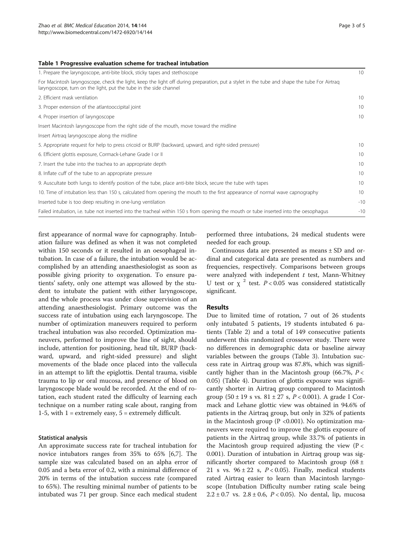#### <span id="page-2-0"></span>Table 1 Progressive evaluation scheme for tracheal intubation

| 1. Prepare the laryngoscope, anti-bite block, sticky tapes and stethoscope                                                                                                                                       |                 |  |
|------------------------------------------------------------------------------------------------------------------------------------------------------------------------------------------------------------------|-----------------|--|
| For Macintosh laryngoscope, check the light, keep the light off during preparation, put a stylet in the tube and shape the tube For Airtrag<br>laryngoscope, turn on the light, put the tube in the side channel |                 |  |
| 2. Efficient mask ventilation                                                                                                                                                                                    | 10              |  |
| 3. Proper extension of the atlantooccipital joint                                                                                                                                                                | 10              |  |
| 4. Proper insertion of laryngoscope                                                                                                                                                                              | 10              |  |
| Insert Macintosh laryngoscope from the right side of the mouth, move toward the midline                                                                                                                          |                 |  |
| Insert Airtrag laryngoscope along the midline                                                                                                                                                                    |                 |  |
| 5. Appropriate request for help to press cricoid or BURP (backward, upward, and right-sided pressure)                                                                                                            | 10 <sup>1</sup> |  |
| 6. Efficient glottis exposure, Cormack-Lehane Grade I or II                                                                                                                                                      | 10              |  |
| 7. Insert the tube into the trachea to an appropriate depth                                                                                                                                                      | 10              |  |
| 8. Inflate cuff of the tube to an appropriate pressure                                                                                                                                                           | 10              |  |
| 9. Auscultate both lungs to identify position of the tube, place anti-bite block, secure the tube with tapes                                                                                                     | 10              |  |
| 10. Time of intubation less than 150 s, calculated from opening the mouth to the first appearance of normal wave capnography                                                                                     | 10              |  |
| Inserted tube is too deep resulting in one-lung ventilation                                                                                                                                                      | $-10$           |  |
| Failed intubation, i.e. tube not inserted into the tracheal within 150 s from opening the mouth or tube inserted into the oesophagus                                                                             | $-10$           |  |

first appearance of normal wave for capnography. Intubation failure was defined as when it was not completed within 150 seconds or it resulted in an oesophageal intubation. In case of a failure, the intubation would be accomplished by an attending anaesthesiologist as soon as possible giving priority to oxygenation. To ensure patients' safety, only one attempt was allowed by the student to intubate the patient with either laryngoscope, and the whole process was under close supervision of an attending anaesthesiologist. Primary outcome was the success rate of intubation using each laryngoscope. The number of optimization maneuvers required to perform tracheal intubation was also recorded. Optimization maneuvers, performed to improve the line of sight, should include, attention for positioning, head tilt, BURP (backward, upward, and right-sided pressure) and slight movements of the blade once placed into the vallecula in an attempt to lift the epiglottis. Dental trauma, visible trauma to lip or oral mucosa, and presence of blood on laryngoscope blade would be recorded. At the end of rotation, each student rated the difficulty of learning each technique on a number rating scale about, ranging from 1-5, with  $1 =$  extremely easy,  $5 =$  extremely difficult.

#### Statistical analysis

An approximate success rate for tracheal intubation for novice intubators ranges from 35% to 65% [[6,7\]](#page-4-0). The sample size was calculated based on an alpha error of 0.05 and a beta error of 0.2, with a minimal difference of 20% in terms of the intubation success rate (compared to 65%). The resulting minimal number of patients to be intubated was 71 per group. Since each medical student

performed three intubations, 24 medical students were needed for each group.

Continuous data are presented as means ± SD and ordinal and categorical data are presented as numbers and frequencies, respectively. Comparisons between groups were analyzed with independent  $t$  test, Mann-Whitney U test or  $\chi^2$  test.  $P < 0.05$  was considered statistically significant.

#### Results

Due to limited time of rotation, 7 out of 26 students only intubated 5 patients, 19 students intubated 6 patients (Table [2\)](#page-3-0) and a total of 149 consecutive patients underwent this randomized crossover study. There were no differences in demographic data or baseline airway variables between the groups (Table [3](#page-3-0)). Intubation success rate in Airtraq group was 87.8%, which was significantly higher than in the Macintosh group (66.7%,  $P <$ 0.05) (Table [4](#page-3-0)). Duration of glottis exposure was significantly shorter in Airtraq group compared to Macintosh group  $(50 \pm 19 \text{ s vs. } 81 \pm 27 \text{ s}, P < 0.001)$ . A grade I Cormack and Lehane glottic view was obtained in 94.6% of patients in the Airtraq group, but only in 32% of patients in the Macintosh group ( $P < 0.001$ ). No optimization maneuvers were required to improve the glottis exposure of patients in the Airtraq group, while 33.7% of patients in the Macintosh group required adjusting the view  $(P <$ 0.001). Duration of intubation in Airtraq group was significantly shorter compared to Macintosh group (68  $\pm$ 21 s vs.  $96 \pm 22$  s,  $P < 0.05$ ). Finally, medical students rated Airtraq easier to learn than Macintosh laryngoscope (Intubation Difficulty number rating scale being  $2.2 \pm 0.7$  vs.  $2.8 \pm 0.6$ ,  $P < 0.05$ ). No dental, lip, mucosa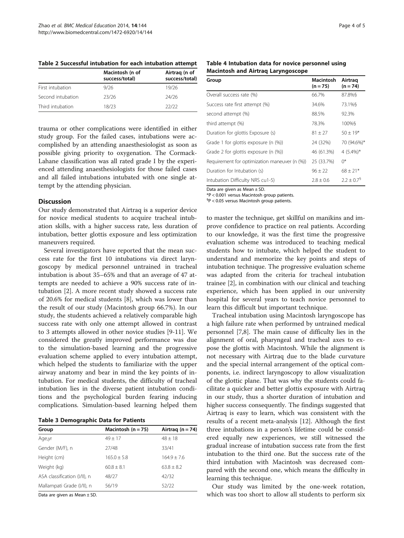|                   | Macintosh (n of<br>success/total) | Airtrag (n of<br>success/total) |
|-------------------|-----------------------------------|---------------------------------|
| First intubation  | 9/26                              | 19/26                           |
| Second intubation | 23/26                             | 24/26                           |
| Third intubation  | 18/23                             | 22/22                           |

<span id="page-3-0"></span>Table 2 Successful intubation for each intubation attempt

trauma or other complications were identified in either study group. For the failed cases, intubations were accomplished by an attending anaesthesiologist as soon as possible giving priority to oxygenation. The Cormack-Lahane classification was all rated grade I by the experienced attending anaesthesiologists for those failed cases and all failed intubations intubated with one single attempt by the attending physician.

#### **Discussion**

Our study demonstrated that Airtraq is a superior device for novice medical students to acquire tracheal intubation skills, with a higher success rate, less duration of intubation, better glottis exposure and less optimization maneuvers required.

Several investigators have reported that the mean success rate for the first 10 intubations via direct laryngoscopy by medical personnel untrained in tracheal intubation is about 35–65% and that an average of 47 attempts are needed to achieve a 90% success rate of intubation [\[2](#page-4-0)]. A more recent study showed a success rate of 20.6% for medical students [\[8](#page-4-0)], which was lower than the result of our study (Macintosh group 66.7%). In our study, the students achieved a relatively comparable high success rate with only one attempt allowed in contrast to 3 attempts allowed in other novice studies [\[9](#page-4-0)-[11\]](#page-4-0). We considered the greatly improved performance was due to the simulation-based learning and the progressive evaluation scheme applied to every intubation attempt, which helped the students to familiarize with the upper airway anatomy and bear in mind the key points of intubation. For medical students, the difficulty of tracheal intubation lies in the diverse patient intubation conditions and the psychological burden fearing inducing complications. Simulation-based learning helped them

Table 3 Demographic Data for Patients

| Group                        | Macintosh ( $n = 75$ ) | Airtrag $(n = 74)$ |
|------------------------------|------------------------|--------------------|
| Age,yr                       | $49 + 17$              | $48 \pm 18$        |
| Gender (M/F), n              | 27/48                  | 33/41              |
| Height (cm)                  | $165.0 + 5.8$          | $164.9 + 7.6$      |
| Weight (kg)                  | $60.8 + 8.1$           | $63.8 + 8.2$       |
| ASA classification (I/II), n | 48/27                  | 42/32              |
| Mallampati Grade (I/II), n   | 56/19                  | 52/22              |

Data are given as Mean ± SD.

Table 4 Intubation data for novice personnel using Macintosh and Airtraq Laryngoscope

| Group                                         | Macintosh<br>$(n = 75)$ | Airtrag<br>$(n = 74)$    |
|-----------------------------------------------|-------------------------|--------------------------|
| Overall success rate (%)                      | 66.7%                   | 87.8%§                   |
| Success rate first attempt (%)                | 34.6%                   | 73.1%§                   |
| second attempt (%)                            | 88.5%                   | 92.3%                    |
| third attempt (%)                             | 78.3%                   | 100%§                    |
| Duration for glottis Exposure (s)             | $81 \pm 27$             | $50 \pm 19*$             |
| Grade 1 for glottis exposure (n (%))          | 24 (32%)                | 70 (94.6%)*              |
| Grade 2 for glottis exposure (n (%))          | 46 (61.3%)              | 4 $(5.4\%)^*$            |
| Requirement for optimization maneuver (n (%)) | 25 (33.7%)              | $0^*$                    |
| Duration for Intubation (s)                   | $96 + 22$               | $68 + 21*$               |
| Intubation Difficulty NRS cu1-5)              | $7.8 + 0.6$             | $2.2 + 0.7$ <sup>9</sup> |

Data are given as Mean  $\pm$  SD.

\*P < 0.001 versus Macintosh group patients.

§ P < 0.05 versus Macintosh group patients.

to master the technique, get skillful on manikins and improve confidence to practice on real patients. According to our knowledge, it was the first time the progressive evaluation scheme was introduced to teaching medical students how to intubate, which helped the student to understand and memorize the key points and steps of intubation technique. The progressive evaluation scheme was adapted from the criteria for tracheal intubation trainee [[2\]](#page-4-0), in combination with our clinical and teaching experience, which has been applied in our university hospital for several years to teach novice personnel to learn this difficult but important technique.

Tracheal intubation using Macintosh laryngoscope has a high failure rate when performed by untrained medical personnel [[7,8\]](#page-4-0). The main cause of difficulty lies in the alignment of oral, pharyngeal and tracheal axes to expose the glottis with Macintosh. While the alignment is not necessary with Airtraq due to the blade curvature and the special internal arrangement of the optical components, i.e. indirect laryngoscopy to allow visualization of the glottic plane. That was why the students could facilitate a quicker and better glottis exposure with Airtraq in our study, thus a shorter duration of intubation and higher success consequently. The findings suggested that Airtraq is easy to learn, which was consistent with the results of a recent meta-analysis [\[12](#page-4-0)]. Although the first three intubations in a person's lifetime could be considered equally new experiences, we still witnessed the gradual increase of intubation success rate from the first intubation to the third one. But the success rate of the third intubation with Macintosh was decreased compared with the second one, which means the difficulty in learning this technique.

Our study was limited by the one-week rotation, which was too short to allow all students to perform six